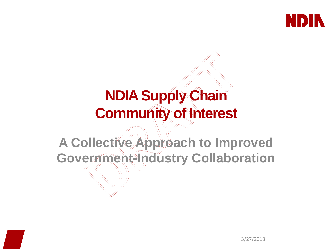

### **NDIA Supply Chain Community of Interest**

# **A Collective Approach to Improved Government-Industry Collaboration**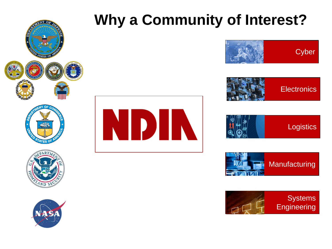















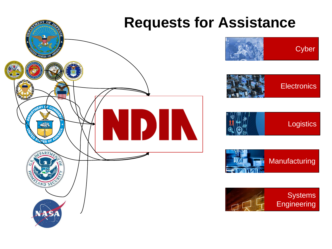

# **Cyber**







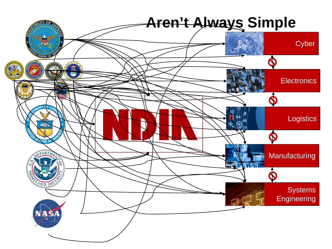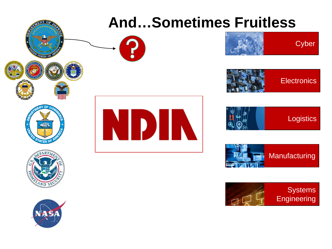















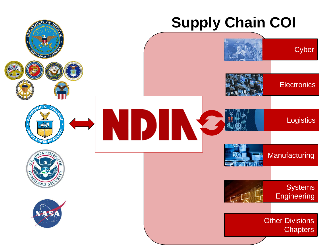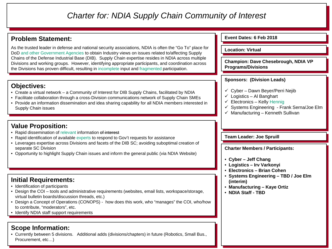#### *Charter for: NDIA Supply Chain Community of Interest*

#### **Problem Statement:**

As the trusted leader in defense and national security associations, NDIA is often the "Go To" place f DoD and other Government Agencies to obtain Industry views on issues related to/affecting Supply Chains of the Defense Industrial Base (DIB). Supply Chain expertise resides in NDIA across multiple Divisions and working groups. However, identifying appropriate participants, and coordination across the Divisions has proven difficult, resulting in incomplete input and fragmented participation.

#### **Objectives:**

- Create a virtual network a Community of Interest for DIB Supply Chains, facilitated by NDIA
- Facilitate collaboration through a cross-Division communications network of Supply Chain SMEs
- Provide an information dissemination and idea sharing capability for all NDIA members interested Supply Chain issues

#### **Value Proposition:**

- Rapid dissemination of relevant information of interest
- Rapid identification of available experts to respond to Gov't requests for assistance
- Leverages expertise across Divisions and facets of the DIB SC; avoiding suboptimal creation of separate SC Division
- Opportunity to highlight Supply Chain issues and inform the general public (via NDIA Website)

#### **Initial Requirements:**

- Identification of participants
- Design the COI tools and administrative requirements (websites, email lists, workspace/storage, virtual bulletin boards/discussion threads, etc.)
- Design a Concept of Operations (CONOPS) how does this work, who "manages" the COI, who/how to contribute, "moderators", etc.
- Identify NDIA staff support requirements

#### **Scope Information:**

• Currently between 5 divisions. Additional adds (divisions/chapters) in future (Robotics, Small Bus., Procurement, etc…)

|        | Event Dates: 6 Feb 2018                                                                                                                                                                                                                 |
|--------|-----------------------------------------------------------------------------------------------------------------------------------------------------------------------------------------------------------------------------------------|
| for    | <b>Location: Virtual</b>                                                                                                                                                                                                                |
| e<br>S | <b>Champion: Dave Chesebrough, NDIA VP</b><br><b>Programs/Divisions</b>                                                                                                                                                                 |
|        | <b>Sponsors: (Division Leads)</b>                                                                                                                                                                                                       |
| in     | ✓ Cyber - Dawn Beyer/Perri Nejib<br>$\checkmark$ Logistics - Al Banghart<br>$\checkmark$ Electronics - Kelly Hennig<br>√ Systems Engineering - Frank Serna/Joe Elm<br>$\checkmark$ Manufacturing - Kenneth Sullivan                     |
|        | <b>Team Leader: Joe Spruill</b>                                                                                                                                                                                                         |
|        | <b>Charter Members / Participants:</b><br>• Cyber – Jeff Chang<br>• Logistics - Irv Varkonyi<br>• Electronics – Brian Cohen<br>• Systems Engineering - TBD / Joe Elm<br>(interim)<br>• Manufacturing - Kaye Ortiz<br>• NDIA Staff - TBD |
|        |                                                                                                                                                                                                                                         |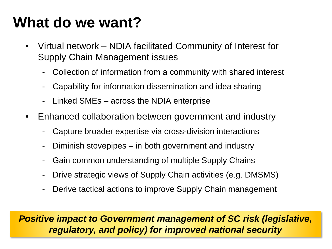### **What do we want?**

- Virtual network NDIA facilitated Community of Interest for Supply Chain Management issues
	- Collection of information from a community with shared interest
	- Capability for information dissemination and idea sharing
	- Linked SMEs across the NDIA enterprise
- Enhanced collaboration between government and industry
	- Capture broader expertise via cross-division interactions
	- Diminish stovepipes in both government and industry
	- Gain common understanding of multiple Supply Chains
	- Drive strategic views of Supply Chain activities (e.g. DMSMS)
	- Derive tactical actions to improve Supply Chain management

*Positive impact to Government management of SC risk (legislative, regulatory, and policy) for improved national security*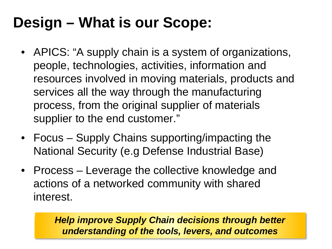## **Design – What is our Scope:**

- APICS: "A supply chain is a system of organizations, people, technologies, activities, information and resources involved in moving materials, products and services all the way through the manufacturing process, from the original supplier of materials supplier to the end customer."
- Focus Supply Chains supporting/impacting the National Security (e.g Defense Industrial Base)
- Process Leverage the collective knowledge and actions of a networked community with shared interest.

*Help improve Supply Chain decisions through better understanding of the tools, levers, and outcomes*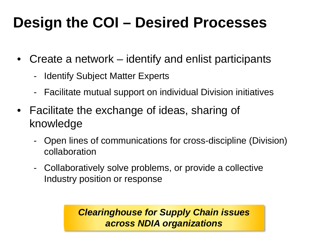### **Design the COI – Desired Processes**

- Create a network identify and enlist participants
	- Identify Subject Matter Experts
	- Facilitate mutual support on individual Division initiatives
- Facilitate the exchange of ideas, sharing of knowledge
	- Open lines of communications for cross-discipline (Division) collaboration
	- Collaboratively solve problems, or provide a collective Industry position or response

*Clearinghouse for Supply Chain issues across NDIA organizations*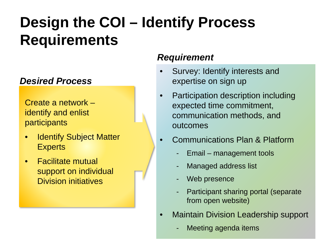## **Design the COI – Identify Process Requirements**

#### *Desired Process*

Create a network – identify and enlist participants

- **Identify Subject Matter Experts**
- Facilitate mutual support on individual Division initiatives

### *Requirement*

- Survey: Identify interests and expertise on sign up
- Participation description including expected time commitment, communication methods, and outcomes
- Communications Plan & Platform
	- Email management tools
	- Managed address list
	- Web presence
	- Participant sharing portal (separate from open website)
- Maintain Division Leadership support
	- Meeting agenda items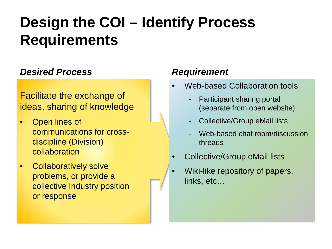### **Design the COI – Identify Process Requirements**

#### *Desired Process*

#### Facilitate the exchange of ideas, sharing of knowledge

- Open lines of communications for crossdiscipline (Division) collaboration
- Collaboratively solve problems, or provide a collective Industry position or response

#### *Requirement*

- Web-based Collaboration tools
	- Participant sharing portal (separate from open website)
	- Collective/Group eMail lists
	- Web-based chat room/discussion threads
- Collective/Group eMail lists
- Wiki-like repository of papers, links, etc…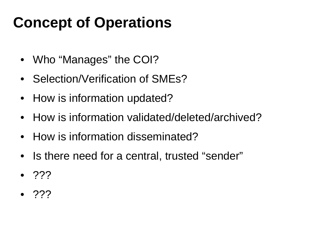### **Concept of Operations**

- Who "Manages" the COI?
- Selection/Verification of SMEs?
- How is information updated?
- How is information validated/deleted/archived?
- How is information disseminated?
- Is there need for a central, trusted "sender"
- ???
- $\bullet$  ???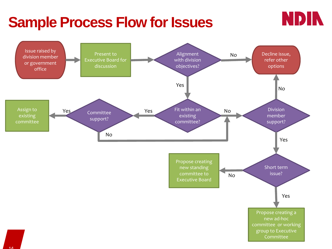### **Sample Process Flow for Issues**



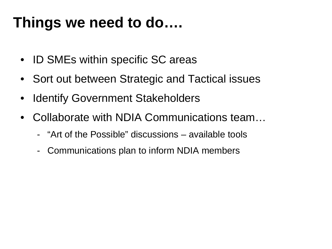### **Things we need to do….**

- ID SMEs within specific SC areas
- Sort out between Strategic and Tactical issues
- Identify Government Stakeholders
- Collaborate with NDIA Communications team…
	- "Art of the Possible" discussions available tools
	- Communications plan to inform NDIA members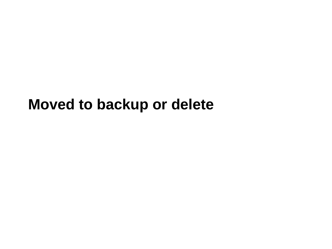### **Moved to backup or delete**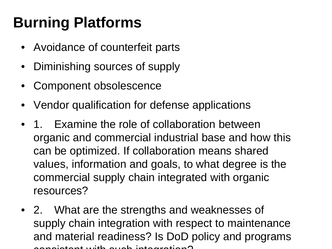## **Burning Platforms**

- Avoidance of counterfeit parts
- Diminishing sources of supply
- Component obsolescence
- Vendor qualification for defense applications
- 1. Examine the role of collaboration between organic and commercial industrial base and how this can be optimized. If collaboration means shared values, information and goals, to what degree is the commercial supply chain integrated with organic resources?
- 2. What are the strengths and weaknesses of supply chain integration with respect to maintenance and material readiness? Is DoD policy and programs  $\alpha$  solatent with such integration?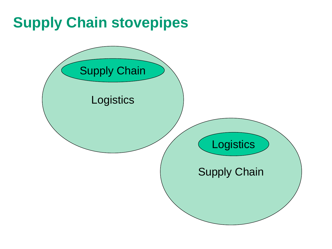### **Supply Chain stovepipes**